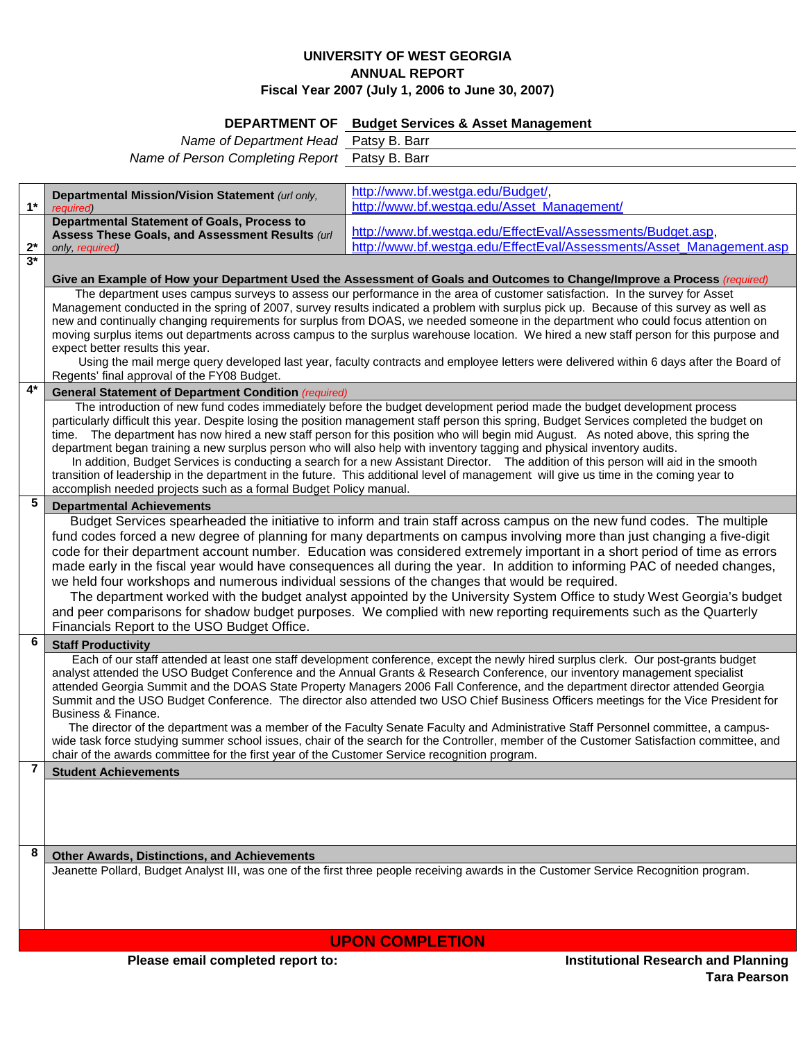## **UNIVERSITY OF WEST GEORGIA ANNUAL REPORT Fiscal Year 2007 (July 1, 2006 to June 30, 2007)**

## **DEPARTMENT OF Budget Services & Asset Management**

*Name of Department Head* Patsy B. Barr *Name of Person Completing Report* Patsy B. Barr

|       | Departmental Mission/Vision Statement (url only,                                                                                                                                                                                                                                 | http://www.bf.westga.edu/Budget/,                                    |  |
|-------|----------------------------------------------------------------------------------------------------------------------------------------------------------------------------------------------------------------------------------------------------------------------------------|----------------------------------------------------------------------|--|
| $1*$  | required)                                                                                                                                                                                                                                                                        | http://www.bf.westga.edu/Asset_Management/                           |  |
|       | <b>Departmental Statement of Goals, Process to</b><br>Assess These Goals, and Assessment Results (url                                                                                                                                                                            | http://www.bf.westga.edu/EffectEval/Assessments/Budget.asp,          |  |
| $2^*$ | only, required)                                                                                                                                                                                                                                                                  | http://www.bf.westga.edu/EffectEval/Assessments/Asset Management.asp |  |
| $3*$  |                                                                                                                                                                                                                                                                                  |                                                                      |  |
|       | Give an Example of How your Department Used the Assessment of Goals and Outcomes to Change/Improve a Process (required)                                                                                                                                                          |                                                                      |  |
|       | The department uses campus surveys to assess our performance in the area of customer satisfaction. In the survey for Asset<br>Management conducted in the spring of 2007, survey results indicated a problem with surplus pick up. Because of this survey as well as             |                                                                      |  |
|       | new and continually changing requirements for surplus from DOAS, we needed someone in the department who could focus attention on                                                                                                                                                |                                                                      |  |
|       | moving surplus items out departments across campus to the surplus warehouse location. We hired a new staff person for this purpose and                                                                                                                                           |                                                                      |  |
|       | expect better results this year.<br>Using the mail merge query developed last year, faculty contracts and employee letters were delivered within 6 days after the Board of                                                                                                       |                                                                      |  |
|       | Regents' final approval of the FY08 Budget.                                                                                                                                                                                                                                      |                                                                      |  |
| $4*$  | <b>General Statement of Department Condition (required)</b>                                                                                                                                                                                                                      |                                                                      |  |
|       | The introduction of new fund codes immediately before the budget development period made the budget development process                                                                                                                                                          |                                                                      |  |
|       | particularly difficult this year. Despite losing the position management staff person this spring, Budget Services completed the budget on<br>time. The department has now hired a new staff person for this position who will begin mid August. As noted above, this spring the |                                                                      |  |
|       | department began training a new surplus person who will also help with inventory tagging and physical inventory audits.                                                                                                                                                          |                                                                      |  |
|       | In addition, Budget Services is conducting a search for a new Assistant Director. The addition of this person will aid in the smooth                                                                                                                                             |                                                                      |  |
|       | transition of leadership in the department in the future. This additional level of management will give us time in the coming year to                                                                                                                                            |                                                                      |  |
| 5     | accomplish needed projects such as a formal Budget Policy manual.                                                                                                                                                                                                                |                                                                      |  |
|       | <b>Departmental Achievements</b><br>Budget Services spearheaded the initiative to inform and train staff across campus on the new fund codes. The multiple                                                                                                                       |                                                                      |  |
|       | fund codes forced a new degree of planning for many departments on campus involving more than just changing a five-digit                                                                                                                                                         |                                                                      |  |
|       | code for their department account number. Education was considered extremely important in a short period of time as errors                                                                                                                                                       |                                                                      |  |
|       | made early in the fiscal year would have consequences all during the year. In addition to informing PAC of needed changes,                                                                                                                                                       |                                                                      |  |
|       | we held four workshops and numerous individual sessions of the changes that would be required.                                                                                                                                                                                   |                                                                      |  |
|       | The department worked with the budget analyst appointed by the University System Office to study West Georgia's budget                                                                                                                                                           |                                                                      |  |
|       | and peer comparisons for shadow budget purposes. We complied with new reporting requirements such as the Quarterly                                                                                                                                                               |                                                                      |  |
| 6     | Financials Report to the USO Budget Office.<br><b>Staff Productivity</b>                                                                                                                                                                                                         |                                                                      |  |
|       | Each of our staff attended at least one staff development conference, except the newly hired surplus clerk. Our post-grants budget                                                                                                                                               |                                                                      |  |
|       | analyst attended the USO Budget Conference and the Annual Grants & Research Conference, our inventory management specialist                                                                                                                                                      |                                                                      |  |
|       | attended Georgia Summit and the DOAS State Property Managers 2006 Fall Conference, and the department director attended Georgia                                                                                                                                                  |                                                                      |  |
|       | Summit and the USO Budget Conference. The director also attended two USO Chief Business Officers meetings for the Vice President for<br>Business & Finance.                                                                                                                      |                                                                      |  |
|       | The director of the department was a member of the Faculty Senate Faculty and Administrative Staff Personnel committee, a campus-                                                                                                                                                |                                                                      |  |
|       | wide task force studying summer school issues, chair of the search for the Controller, member of the Customer Satisfaction committee, and                                                                                                                                        |                                                                      |  |
|       | chair of the awards committee for the first year of the Customer Service recognition program.                                                                                                                                                                                    |                                                                      |  |
|       | <b>Student Achievements</b>                                                                                                                                                                                                                                                      |                                                                      |  |
|       |                                                                                                                                                                                                                                                                                  |                                                                      |  |
|       |                                                                                                                                                                                                                                                                                  |                                                                      |  |
|       |                                                                                                                                                                                                                                                                                  |                                                                      |  |
| 8     | <b>Other Awards, Distinctions, and Achievements</b>                                                                                                                                                                                                                              |                                                                      |  |
|       | Jeanette Pollard, Budget Analyst III, was one of the first three people receiving awards in the Customer Service Recognition program.                                                                                                                                            |                                                                      |  |
|       |                                                                                                                                                                                                                                                                                  |                                                                      |  |
|       |                                                                                                                                                                                                                                                                                  |                                                                      |  |
|       |                                                                                                                                                                                                                                                                                  |                                                                      |  |
|       | <b>UPON COMPLETION</b>                                                                                                                                                                                                                                                           |                                                                      |  |